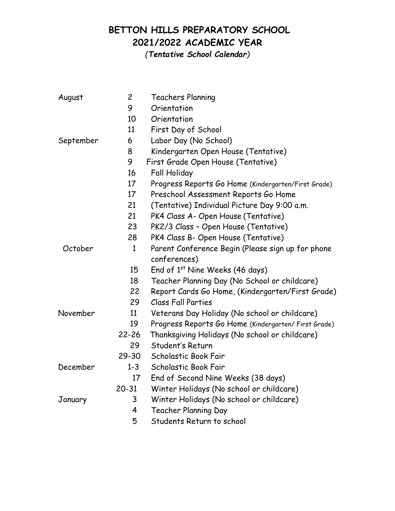## **BETTON HILLS PREPARATORY SCHOOL 2021/2022 ACADEMIC YEAR**

*(Tentative School Calendar)*

| August    | $\overline{c}$ | <b>Teachers Planning</b>                             |
|-----------|----------------|------------------------------------------------------|
|           | 9              | Orientation                                          |
|           | 10             | Orientation                                          |
|           | 11             | First Day of School                                  |
| September | 6              | Labor Day (No School)                                |
|           | 8              | Kindergarten Open House (Tentative)                  |
|           | 9              | First Grade Open House (Tentative)                   |
|           | 16             | <b>Fall Holiday</b>                                  |
|           | 17             | Progress Reports Go Home (Kindergarten/First Grade)  |
|           | 17             | Preschool Assessment Reports Go Home                 |
|           | 21             | (Tentative) Individual Picture Day 9:00 a.m.         |
|           | 21             | PK4 Class A- Open House (Tentative)                  |
|           | 23             | PK2/3 Class - Open House (Tentative)                 |
|           | 28             | PK4 Class B- Open House (Tentative)                  |
| October   | $\mathbf{1}$   | Parent Conference Begin (Please sign up for phone    |
|           |                | conferences)                                         |
|           | 15             | End of 1st Nine Weeks (46 days)                      |
|           | 18             | Teacher Planning Day (No School or childcare)        |
|           | 22             | Report Cards Go Home, (Kindergarten/First Grade)     |
|           | 29             | Class Fall Parties                                   |
| November  | 11             | Veterans Day Holiday (No school or childcare)        |
|           | 19             | Progress Reports Go Home (Kindergarten/ First Grade) |
|           | $22 - 26$      | Thanksgiving Holidays (No school or childcare)       |
|           | 29             | Student's Return                                     |
|           | $29 - 30$      | Scholastic Book Fair                                 |
| December  | $1 - 3$        | Scholastic Book Fair                                 |
|           | 17             | End of Second Nine Weeks (38 days)                   |
|           | $20 - 31$      | Winter Holidays (No school or childcare)             |
| January   | 3              | Winter Holidays (No school or childcare)             |
|           | 4              | <b>Teacher Planning Day</b>                          |
|           | 5              | Students Return to school                            |